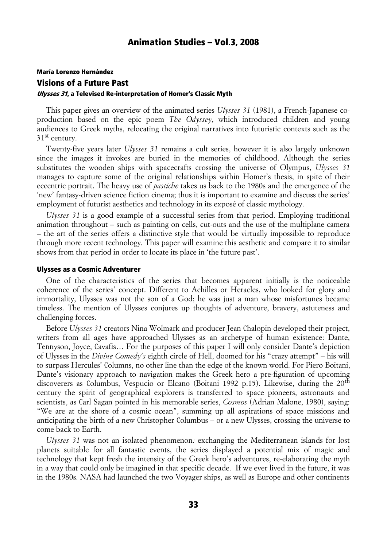# María Lorenzo Hernández Visions of a Future Past Ulysses 31, a Televised Re-interpretation of Homer's Classic Myth

This paper gives an overview of the animated series *Ulysses 31* (1981), a French-Japanese coproduction based on the epic poem *The Odyssey*, which introduced children and young audiences to Greek myths, relocating the original narratives into futuristic contexts such as the  $31<sup>st</sup>$  century.

Twenty-five years later *Ulysses 31* remains a cult series, however it is also largely unknown since the images it invokes are buried in the memories of childhood. Although the series substitutes the wooden ships with spacecrafts crossing the universe of Olympus, *Ulysses 31* manages to capture some of the original relationships within Homer's thesis, in spite of their eccentric portrait. The heavy use of *pastiche* takes us back to the 1980s and the emergence of the 'new' fantasy-driven science fiction cinema; thus it is important to examine and discuss the series' employment of futurist aesthetics and technology in its exposé of classic mythology.

*Ulysses 31* is a good example of a successful series from that period. Employing traditional animation throughout – such as painting on cells, cut-outs and the use of the multiplane camera – the art of the series offers a distinctive style that would be virtually impossible to reproduce through more recent technology. This paper will examine this aesthetic and compare it to similar shows from that period in order to locate its place in 'the future past'.

#### Ulysses as a Cosmic Adventurer

One of the characteristics of the series that becomes apparent initially is the noticeable coherence of the series' concept. Different to Achilles or Heracles, who looked for glory and immortality, Ulysses was not the son of a God; he was just a man whose misfortunes became timeless. The mention of Ulysses conjures up thoughts of adventure, bravery, astuteness and challenging forces.

Before *Ulysses 31* creators Nina Wolmark and producer Jean Chalopin developed their project, writers from all ages have approached Ulysses as an archetype of human existence: Dante, Tennyson, Joyce, Cavafis… For the purposes of this paper I will only consider Dante's depiction of Ulysses in the *Divine Comedy's* eighth circle of Hell, doomed for his "crazy attempt" – his will to surpass Hercules' Columns, no other line than the edge of the known world. For Piero Boitani, Dante's visionary approach to navigation makes the Greek hero a pre-figuration of upcoming discoverers as Columbus, Vespucio or Elcano (Boitani 1992 p.15). Likewise, during the 20<sup>th</sup> century the spirit of geographical explorers is transferred to space pioneers, astronauts and scientists, as Carl Sagan pointed in his memorable series, *Cosmos* (Adrian Malone, 1980), saying: "We are at the shore of a cosmic ocean", summing up all aspirations of space missions and anticipating the birth of a new Christopher Columbus – or a new Ulysses, crossing the universe to come back to Earth.

*Ulysses 31* was not an isolated phenomenon*:* exchanging the Mediterranean islands for lost planets suitable for all fantastic events, the series displayed a potential mix of magic and technology that kept fresh the intensity of the Greek hero's adventures, re-elaborating the myth in a way that could only be imagined in that specific decade. If we ever lived in the future, it was in the 1980s. NASA had launched the two Voyager ships, as well as Europe and other continents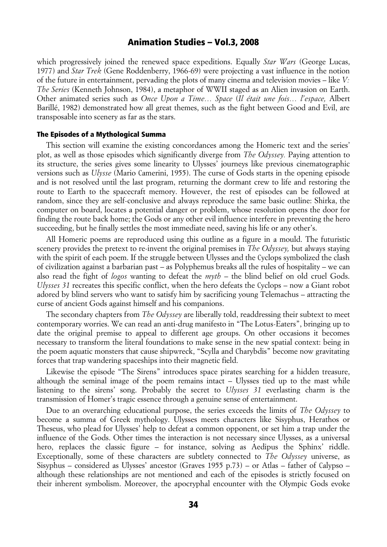which progressively joined the renewed space expeditions. Equally *Star Wars* (George Lucas, 1977) and *Star Trek* (Gene Roddenberry, 1966-69) were projecting a vast influence in the notion of the future in entertainment, pervading the plots of many cinema and television movies – like *V: The Series* (Kenneth Johnson, 1984), a metaphor of WWII staged as an Alien invasion on Earth. Other animated series such as *Once Upon a Time… Space* (*Il était une fois… l'espace,* Albert Barillé, 1982) demonstrated how all great themes, such as the fight between Good and Evil, are transposable into scenery as far as the stars.

#### The Episodes of a Mythological Summa

This section will examine the existing concordances among the Homeric text and the series' plot, as well as those episodes which significantly diverge from *The Odyssey.* Paying attention to its structure, the series gives some linearity to Ulysses' journeys like previous cinematographic versions such as *Ulysse* (Mario Camerini, 1955). The curse of Gods starts in the opening episode and is not resolved until the last program, returning the dormant crew to life and restoring the route to Earth to the spacecraft memory. However, the rest of episodes can be followed at random, since they are self-conclusive and always reproduce the same basic outline: Shirka, the computer on board, locates a potential danger or problem, whose resolution opens the door for finding the route back home; the Gods or any other evil influence interfere in preventing the hero succeeding, but he finally settles the most immediate need, saving his life or any other's.

All Homeric poems are reproduced using this outline as a figure in a mould. The futuristic scenery provides the pretext to re-invent the original premises in *The Odyssey,* but always staying with the spirit of each poem. If the struggle between Ulysses and the Cyclops symbolized the clash of civilization against a barbarian past – as Polyphemus breaks all the rules of hospitality – we can also read the fight of *logos* wanting to defeat the *myth –* the blind belief on old cruel Gods. *Ulysses 31* recreates this specific conflict, when the hero defeats the Cyclops – now a Giant robot adored by blind servers who want to satisfy him by sacrificing young Telemachus – attracting the curse of ancient Gods against himself and his companions.

The secondary chapters from *The Odyssey* are liberally told, readdressing their subtext to meet contemporary worries. We can read an anti-drug manifesto in "The Lotus-Eaters", bringing up to date the original premise to appeal to different age groups. On other occasions it becomes necessary to transform the literal foundations to make sense in the new spatial context: being in the poem aquatic monsters that cause shipwreck, "Scylla and Charybdis" become now gravitating forces that trap wandering spaceships into their magnetic field.

Likewise the episode "The Sirens" introduces space pirates searching for a hidden treasure, although the seminal image of the poem remains intact – Ulysses tied up to the mast while listening to the sirens' song. Probably the secret to *Ulysses 31* everlasting charm is the transmission of Homer's tragic essence through a genuine sense of entertainment.

Due to an overarching educational purpose, the series exceeds the limits of *The Odyssey* to become a summa of Greek mythology. Ulysses meets characters like Sisyphus, Herathos or Theseus, who plead for Ulysses' help to defeat a common opponent, or set him a trap under the influence of the Gods. Other times the interaction is not necessary since Ulysses, as a universal hero, replaces the classic figure – for instance, solving as Aedipus the Sphinx' riddle. Exceptionally, some of these characters are subtlety connected to *The Odyssey* universe, as Sisyphus – considered as Ulysses' ancestor (Graves 1955 p.73) – or Atlas – father of Calypso – although these relationships are not mentioned and each of the episodes is strictly focused on their inherent symbolism. Moreover, the apocryphal encounter with the Olympic Gods evoke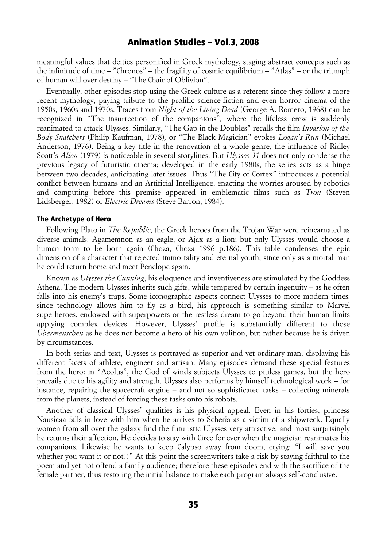meaningful values that deities personified in Greek mythology, staging abstract concepts such as the infinitude of time – "Chronos" – the fragility of cosmic equilibrium – "Atlas" – or the triumph of human will over destiny – "The Chair of Oblivion".

Eventually, other episodes stop using the Greek culture as a referent since they follow a more recent mythology, paying tribute to the prolific science-fiction and even horror cinema of the 1950s, 1960s and 1970s. Traces from *Night of the Living Dead* (George A. Romero, 1968) can be recognized in "The insurrection of the companions"*,* where the lifeless crew is suddenly reanimated to attack Ulysses. Similarly, "The Gap in the Doubles" recalls the film *Invasion of the Body Snatchers* (Philip Kaufman, 1978)*,* or "The Black Magician" evokes *Logan's Run* (Michael Anderson, 1976). Being a key title in the renovation of a whole genre, the influence of Ridley Scott's *Alien* (1979) is noticeable in several storylines. But *Ulysses 31* does not only condense the previous legacy of futuristic cinema; developed in the early 1980s, the series acts as a hinge between two decades, anticipating later issues. Thus "The City of Cortex" introduces a potential conflict between humans and an Artificial Intelligence, enacting the worries aroused by robotics and computing before this premise appeared in emblematic films such as *Tron* (Steven Lidsberger, 1982) or *Electric Dreams* (Steve Barron, 1984).

#### The Archetype of Hero

Following Plato in *The Republic*, the Greek heroes from the Trojan War were reincarnated as diverse animals: Agamemnon as an eagle, or Ajax as a lion; but only Ulysses would choose a human form to be born again (Choza, Choza 1996 p.186). This fable condenses the epic dimension of a character that rejected immortality and eternal youth, since only as a mortal man he could return home and meet Penelope again.

Known as *Ulysses the Cunning*, his eloquence and inventiveness are stimulated by the Goddess Athena. The modern Ulysses inherits such gifts, while tempered by certain ingenuity – as he often falls into his enemy's traps. Some iconographic aspects connect Ulysses to more modern times: since technology allows him to fly as a bird, his approach is something similar to Marvel superheroes, endowed with superpowers or the restless dream to go beyond their human limits applying complex devices. However, Ulysses' profile is substantially different to those *Übermenschen* as he does not become a hero of his own volition, but rather because he is driven by circumstances.

In both series and text, Ulysses is portrayed as superior and yet ordinary man, displaying his different facets of athlete, engineer and artisan. Many episodes demand these special features from the hero: in "Aeolus", the God of winds subjects Ulysses to pitiless games, but the hero prevails due to his agility and strength. Ulysses also performs by himself technological work – for instance, repairing the spacecraft engine – and not so sophisticated tasks – collecting minerals from the planets, instead of forcing these tasks onto his robots.

Another of classical Ulysses' qualities is his physical appeal. Even in his forties, princess Nausicaa falls in love with him when he arrives to Scheria as a victim of a shipwreck. Equally women from all over the galaxy find the futuristic Ulysses very attractive, and most surprisingly he returns their affection. He decides to stay with Circe for ever when the magician reanimates his companions. Likewise he wants to keep Calypso away from doom, crying: "I will save you whether you want it or not!!" At this point the screenwriters take a risk by staying faithful to the poem and yet not offend a family audience; therefore these episodes end with the sacrifice of the female partner, thus restoring the initial balance to make each program always self-conclusive.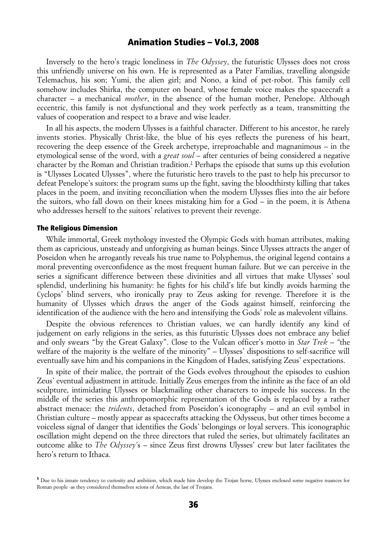Inversely to the hero's tragic loneliness in *The Odyssey*, the futuristic Ulysses does not cross this unfriendly universe on his own. He is represented as a Pater Familias, travelling alongside Telemachus, his son; Yumi, the alien girl; and Nono, a kind of pet-robot. This family cell somehow includes Shirka, the computer on board, whose female voice makes the spacecraft a character – a mechanical *mother*, in the absence of the human mother, Penelope. Although eccentric, this family is not dysfunctional and they work perfectly as a team, transmitting the values of cooperation and respect to a brave and wise leader.

In all his aspects, the modern Ulysses is a faithful character. Different to his ancestor, he rarely invents stories. Physically Christ-like, the blue of his eyes reflects the pureness of his heart, recovering the deep essence of the Greek archetype, irreproachable and magnanimous – in the etymological sense of the word, with a *great soul –* after centuries of being considered a negative character by the Roman and Christian tradition.<sup>1</sup> Perhaps the episode that sums up this evolution is "Ulysses Located Ulysses", where the futuristic hero travels to the past to help his precursor to defeat Penelope's suitors: the program sums up the fight, saving the bloodthirsty killing that takes places in the poem, and inviting reconciliation when the modern Ulysses flies into the air before the suitors, who fall down on their knees mistaking him for a God – in the poem, it is Athena who addresses herself to the suitors' relatives to prevent their revenge.

#### The Religious Dimension

While immortal, Greek mythology invested the Olympic Gods with human attributes, making them as capricious, unsteady and unforgiving as human beings. Since Ulysses attracts the anger of Poseidon when he arrogantly reveals his true name to Polyphemus, the original legend contains a moral preventing overconfidence as the most frequent human failure. But we can perceive in the series a significant difference between these divinities and all virtues that make Ulysses' soul splendid, underlining his humanity: he fights for his child's life but kindly avoids harming the Cyclops' blind servers, who ironically pray to Zeus asking for revenge. Therefore it is the humanity of Ulysses which draws the anger of the Gods against himself, reinforcing the identification of the audience with the hero and intensifying the Gods' role as malevolent villains.

Despite the obvious references to Christian values, we can hardly identify any kind of judgement on early religions in the series, as this futuristic Ulysses does not embrace any belief and only swears "by the Great Galaxy". Close to the Vulcan officer's motto in *Star Trek – "*the welfare of the majority is the welfare of the minority" – Ulysses' dispositions to self-sacrifice will eventually save him and his companions in the Kingdom of Hades, satisfying Zeus' expectations.

In spite of their malice, the portrait of the Gods evolves throughout the episodes to cushion Zeus' eventual adjustment in attitude. Initially Zeus emerges from the infinite as the face of an old sculpture, intimidating Ulysses or blackmailing other characters to impede his success. In the middle of the series this anthropomorphic representation of the Gods is replaced by a rather abstract menace: the *tridents*, detached from Poseidon's iconography – and an evil symbol in Christian culture – mostly appear as spacecrafts attacking the Odysseus, but other times become a voiceless signal of danger that identifies the Gods' belongings or loyal servers. This iconographic oscillation might depend on the three directors that ruled the series, but ultimately facilitates an outcome alike to *The Odyssey'*s – since Zeus first drowns Ulysses' crew but later facilitates the hero's return to Ithaca.

<sup>&</sup>lt;sup>1</sup> Due to his innate tendency to curiosity and ambition, which made him develop the Trojan horse, Ulysses enclosed some negative nuances for Roman people -as they considered themselves scions of Aeneas, the last of Trojans.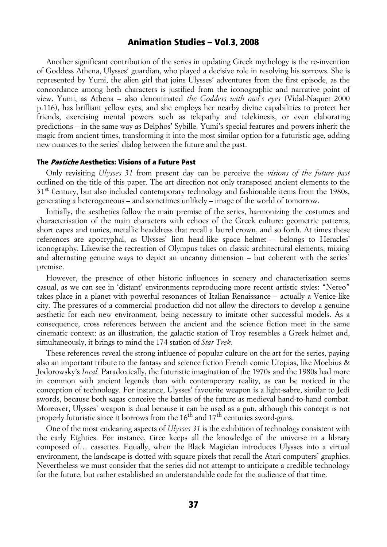Another significant contribution of the series in updating Greek mythology is the re-invention of Goddess Athena, Ulysses' guardian, who played a decisive role in resolving his sorrows. She is represented by Yumi, the alien girl that joins Ulysses' adventures from the first episode, as the concordance among both characters is justified from the iconographic and narrative point of view. Yumi, as Athena – also denominated *the Goddess with owl's eyes* (Vidal-Naquet 2000 p.116), has brilliant yellow eyes, and she employs her nearby divine capabilities to protect her friends, exercising mental powers such as telepathy and telekinesis, or even elaborating predictions – in the same way as Delphos' Sybille. Yumi's special features and powers inherit the magic from ancient times, transforming it into the most similar option for a futuristic age, adding new nuances to the series' dialog between the future and the past.

### The *Pastiche* Aesthetics: Visions of a Future Past

Only revisiting *Ulysses 31* from present day can be perceive the *visions of the future past* outlined on the title of this paper. The art direction not only transposed ancient elements to the  $31<sup>st</sup>$  Century, but also included contemporary technology and fashionable items from the 1980s, generating a heterogeneous – and sometimes unlikely – image of the world of tomorrow.

Initially, the aesthetics follow the main premise of the series, harmonizing the costumes and characterisation of the main characters with echoes of the Greek culture: geometric patterns, short capes and tunics, metallic headdress that recall a laurel crown, and so forth. At times these references are apocryphal, as Ulysses' lion head-like space helmet – belongs to Heracles' iconography. Likewise the recreation of Olympus takes on classic architectural elements, mixing and alternating genuine ways to depict an uncanny dimension – but coherent with the series' premise.

However, the presence of other historic influences in scenery and characterization seems casual, as we can see in 'distant' environments reproducing more recent artistic styles: "Nereo" takes place in a planet with powerful resonances of Italian Renaissance – actually a Venice-like city. The pressures of a commercial production did not allow the directors to develop a genuine aesthetic for each new environment, being necessary to imitate other successful models. As a consequence, cross references between the ancient and the science fiction meet in the same cinematic context: as an illustration, the galactic station of Troy resembles a Greek helmet and, simultaneously, it brings to mind the 174 station of *Star Trek*.

These references reveal the strong influence of popular culture on the art for the series, paying also an important tribute to the fantasy and science fiction French comic Utopias, like Moebius & Jodorowsky's *Incal.* Paradoxically, the futuristic imagination of the 1970s and the 1980s had more in common with ancient legends than with contemporary reality, as can be noticed in the conception of technology. For instance, Ulysses' favourite weapon is a light-sabre, similar to Jedi swords, because both sagas conceive the battles of the future as medieval hand-to-hand combat. Moreover, Ulysses' weapon is dual because it can be used as a gun, although this concept is not properly futuristic since it borrows from the  $16<sup>th</sup>$  and  $17<sup>th</sup>$  centuries sword-guns.

One of the most endearing aspects of *Ulysses 31* is the exhibition of technology consistent with the early Eighties. For instance, Circe keeps all the knowledge of the universe in a library composed of… cassettes. Equally, when the Black Magician introduces Ulysses into a virtual environment, the landscape is dotted with square pixels that recall the Atari computers' graphics. Nevertheless we must consider that the series did not attempt to anticipate a credible technology for the future, but rather established an understandable code for the audience of that time.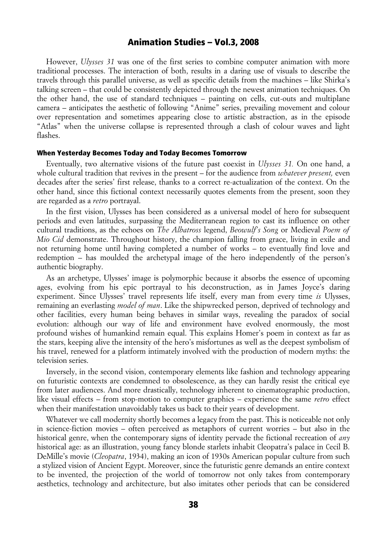However, *Ulysses 31* was one of the first series to combine computer animation with more traditional processes. The interaction of both, results in a daring use of visuals to describe the travels through this parallel universe, as well as specific details from the machines – like Shirka's talking screen – that could be consistently depicted through the newest animation techniques. On the other hand, the use of standard techniques – painting on cells, cut-outs and multiplane camera – anticipates the aesthetic of following "Anime" series, prevailing movement and colour over representation and sometimes appearing close to artistic abstraction, as in the episode "Atlas" when the universe collapse is represented through a clash of colour waves and light flashes.

#### When Yesterday Becomes Today and Today Becomes Tomorrow

Eventually, two alternative visions of the future past coexist in *Ulysses 31.* On one hand, a whole cultural tradition that revives in the present – for the audience from *whatever present,* even decades after the series' first release, thanks to a correct re-actualization of the context. On the other hand, since this fictional context necessarily quotes elements from the present, soon they are regarded as a *retro* portrayal.

In the first vision, Ulysses has been considered as a universal model of hero for subsequent periods and even latitudes, surpassing the Mediterranean region to cast its influence on other cultural traditions, as the echoes on *The Albatross* legend, *Beowulf's Song* or Medieval *Poem of Mio Cid* demonstrate. Throughout history, the champion falling from grace, living in exile and not returning home until having completed a number of works – to eventually find love and redemption – has moulded the archetypal image of the hero independently of the person's authentic biography.

As an archetype, Ulysses' image is polymorphic because it absorbs the essence of upcoming ages, evolving from his epic portrayal to his deconstruction, as in James Joyce's daring experiment. Since Ulysses' travel represents life itself, every man from every time *is* Ulysses, remaining an everlasting *model of man*. Like the shipwrecked person, deprived of technology and other facilities, every human being behaves in similar ways, revealing the paradox of social evolution: although our way of life and environment have evolved enormously, the most profound wishes of humankind remain equal. This explains Homer's poem in context as far as the stars, keeping alive the intensity of the hero's misfortunes as well as the deepest symbolism of his travel, renewed for a platform intimately involved with the production of modern myths: the television series.

Inversely, in the second vision, contemporary elements like fashion and technology appearing on futuristic contexts are condemned to obsolescence, as they can hardly resist the critical eye from later audiences. And more drastically, technology inherent to cinematographic production, like visual effects – from stop-motion to computer graphics – experience the same *retro* effect when their manifestation unavoidably takes us back to their years of development.

Whatever we call modernity shortly becomes a legacy from the past. This is noticeable not only in science-fiction movies – often perceived as metaphors of current worries – but also in the historical genre, when the contemporary signs of identity pervade the fictional recreation of *any* historical age: as an illustration, young fancy blonde starlets inhabit Cleopatra's palace in Cecil B. DeMille's movie (*Cleopatra*, 1934), making an icon of 1930s American popular culture from such a stylized vision of Ancient Egypt. Moreover, since the futuristic genre demands an entire context to be invented, the projection of the world of tomorrow not only takes from contemporary aesthetics, technology and architecture, but also imitates other periods that can be considered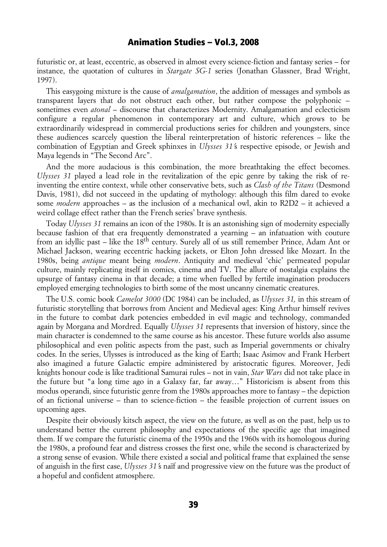futuristic or, at least, eccentric, as observed in almost every science-fiction and fantasy series – for instance, the quotation of cultures in *Stargate SG-1* series (Jonathan Glassner, Brad Wright, 1997).

This easygoing mixture is the cause of *amalgamation*, the addition of messages and symbols as transparent layers that do not obstruct each other, but rather compose the polyphonic – sometimes even *atonal* – discourse that characterizes Modernity. Amalgamation and eclecticism configure a regular phenomenon in contemporary art and culture, which grows to be extraordinarily widespread in commercial productions series for children and youngsters, since these audiences scarcely question the liberal reinterpretation of historic references – like the combination of Egyptian and Greek sphinxes in *Ulysses 31*′s respective episode, or Jewish and Maya legends in "The Second Arc".

And the more audacious is this combination, the more breathtaking the effect becomes. *Ulysses 31* played a lead role in the revitalization of the epic genre by taking the risk of reinventing the entire context, while other conservative bets, such as *Clash of the Titans* (Desmond Davis, 1981), did not succeed in the updating of mythology: although this film dared to evoke some *modern* approaches – as the inclusion of a mechanical owl, akin to R2D2 – it achieved a weird collage effect rather than the French series' brave synthesis.

Today *Ulysses 31* remains an icon of the 1980s. It is an astonishing sign of modernity especially because fashion of that era frequently demonstrated a yearning – an infatuation with couture from an idyllic past – like the  $18<sup>th</sup>$  century. Surely all of us still remember Prince, Adam Ant or Michael Jackson, wearing eccentric hacking jackets, or Elton John dressed like Mozart. In the 1980s, being *antique* meant being *modern*. Antiquity and medieval 'chic' permeated popular culture, mainly replicating itself in comics, cinema and TV. The allure of nostalgia explains the upsurge of fantasy cinema in that decade; a time when fuelled by fertile imagination producers employed emerging technologies to birth some of the most uncanny cinematic creatures.

The U.S. comic book *Camelot 3000* (DC 1984) can be included, as *Ulysses 31,* in this stream of futuristic storytelling that borrows from Ancient and Medieval ages: King Arthur himself revives in the future to combat dark potencies embedded in evil magic and technology, commanded again by Morgana and Mordred. Equally *Ulysses 31* represents that inversion of history, since the main character is condemned to the same course as his ancestor. These future worlds also assume philosophical and even politic aspects from the past, such as Imperial governments or chivalry codes. In the series, Ulysses is introduced as the king of Earth; Isaac Asimov and Frank Herbert also imagined a future Galactic empire administered by aristocratic figures. Moreover, Jedi knights honour code is like traditional Samurai rules – not in vain, *Star Wars* did not take place in the future but "a long time ago in a Galaxy far, far away…" Historicism is absent from this modus operandi, since futuristic genre from the 1980s approaches more to fantasy – the depiction of an fictional universe – than to science-fiction – the feasible projection of current issues on upcoming ages.

Despite their obviously kitsch aspect, the view on the future, as well as on the past, help us to understand better the current philosophy and expectations of the specific age that imagined them. If we compare the futuristic cinema of the 1950s and the 1960s with its homologous during the 1980s, a profound fear and distress crosses the first one, while the second is characterized by a strong sense of evasion. While there existed a social and political frame that explained the sense of anguish in the first case, *Ulysses 31*′s naïf and progressive view on the future was the product of a hopeful and confident atmosphere.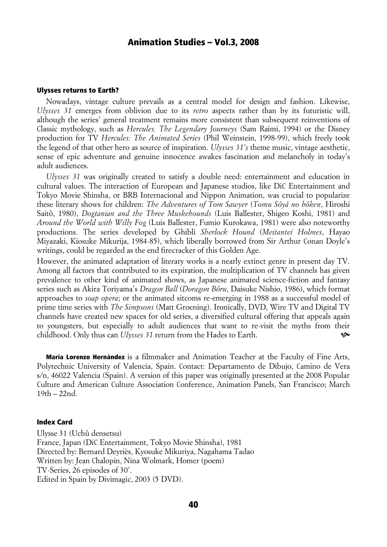### Ulysses returns to Earth?

Nowadays, vintage culture prevails as a central model for design and fashion. Likewise, *Ulysses 31* emerges from oblivion due to its *retro* aspects rather than by its futuristic will, although the series' general treatment remains more consistent than subsequent reinventions of Classic mythology, such as *Hercules. The Legendary Journeys* (Sam Raimi, 1994) or the Disney production for TV *Hercules: The Animated Series* (Phil Weinstein, 1998-99), which freely took the legend of that other hero as source of inspiration. *Ulysses 31's* theme music, vintage aesthetic, sense of epic adventure and genuine innocence awakes fascination and melancholy in today's adult audiences.

*Ulysses 31* was originally created to satisfy a double need: entertainment and education in cultural values. The interaction of European and Japanese studios, like DiC Entertainment and Tokyo Movie Shinsha, or BRB Internacional and Nippon Animation, was crucial to popularize these literary shows for children: *The Adventures of Tom Sawyer* (*Tomu Sôyâ no bôken*, Hiroshi Saitô, 1980), *Dogtanian and the Three Muskehounds* (Luis Ballester, Shigeo Koshi, 1981) and *Around the World with Willy Fog* (Luis Ballester, Fumio Kurokawa, 1981) were also noteworthy productions. The series developed by Ghibli *Sherlock Hound* (*Meitantei Holmes*, Hayao Miyazaki, Kiosuke Mikurija, 1984-85), which liberally borrowed from Sir Arthur Conan Doyle's writings, could be regarded as the end firecracker of this Golden Age.

However, the animated adaptation of literary works is a nearly extinct genre in present day TV. Among all factors that contributed to its expiration, the multiplication of TV channels has given prevalence to other kind of animated shows, as Japanese animated science-fiction and fantasy series such as Akira Toriyama's *Dragon Ball* (*Doragon Bôru*, Daisuke Nishio, 1986), which format approaches to *soap opera*; or the animated sitcoms re-emerging in 1988 as a successful model of prime time series with *The Simpsons* (Matt Groening). Ironically, DVD, Wire TV and Digital TV channels have created new spaces for old series, a diversified cultural offering that appeals again to youngsters, but especially to adult audiences that want to re-visit the myths from their childhood. Only thus can *Ulysses 31* return from the Hades to Earth. ^

María Lorenzo Hernández is a filmmaker and Animation Teacher at the Faculty of Fine Arts, Polytechnic University of Valencia, Spain. Contact: Departamento de Dibujo, Camino de Vera s/n, 46022 Valencia (Spain). A version of this paper was originally presented at the 2008 Popular Culture and American Culture Association Conference, Animation Panels, San Francisco; March 19th – 22nd.

#### Index Card

Ulysse 31 (Uchû densetsu) France, Japan (DiC Entertainment, Tokyo Movie Shinsha), 1981 Directed by: Bernard Deyriès, Kyosuke Mikuriya, Nagahama Tadao Written by: Jean Chalopin, Nina Wolmark, Homer (poem) TV-Series, 26 episodes of 30'. Edited in Spain by Divimagic, 2003 (5 DVD).